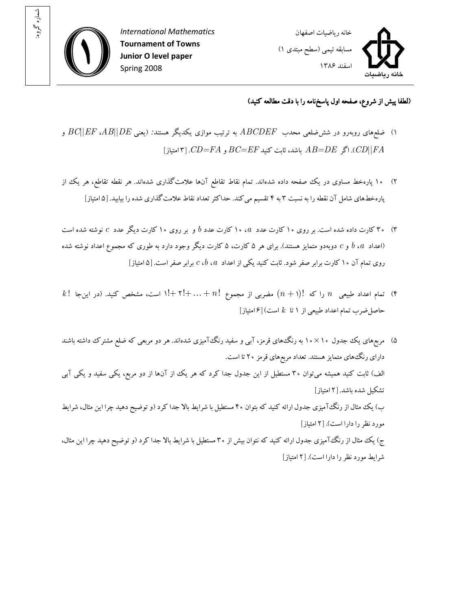

: شماره گروه



## (لطفا پيش از شروع، صفحه اول پاسخ نامه را با دقت مطالعه کنيد)

- ۱) ضلع های روبهرو در شش ضلعی محدب  $ABCDEF \; ABCDEF \; AB||DE$  به ترتیب موازی یکدیگر هستند: (یعنی  $BC||EF \; AB||DE$  و  $F(A|B)$ . اگر  $B=DE$  باشد، ثابت کنید  $BC=EF$  و  $|FA|$ امتیاز  $|FA|$
- ۲) ۱۰ پارهخط مساوی در یک صفحه داده شدهاند. تمام نقاط تقاطع آنها علامتگذاری شدهاند. هر نقطه تقاطع، هر یک از پاره خط هاى شامل آن نقطه را به نسبت ۳ به ۴ تقسيم مى کند. حداکثر تعداد نقاط علامت گذارى شده را بيابيد. [۵ امتياز]
- ۳۰  $^\circ$ ۳ کارت داده شده است. بر روی ۱۰ کارت عدد  $a$ ، ۱۰ کارت عدد  $b$  و بر روی ۱۰ کارت دیگر عدد  $c$  نوشته شده است (اعداد  $b$ ،  $b$  و  $c$  دوبهدو متمايز هستند). براي هر ۵ کارت، ۵ کارت ديگر وجود دارد به طوري که مجموع اعداد نوشته شده روی تمام آن ۱۰ کارت برابر صفر شود. ثابت کنيد يکي از اعداد  $a$ ،  $c$ ، برابر صفر است. [۵ امتياز]
- $k$ ! تمام اعداد طبیعی  $n$  را که  $(n + 1)$  مضربی از مجموع  $n \neq 1+ \cdots + 1+$ ا است، مشخص کنید. (در این $n$ حاصل ضرب تمام اعداد طبيعي از ١ تا  $k$  است) [۶ امتياز]
- )۵ مربعهاي يک جدول × 10 10 به رنگهاي قرمز، آبي و سفيد رنگآميزي شدهاند. هر دو مربعي که ضلع مشترک داشته باشند داراي رنگهاي متمايز هستند. تعداد مربعهاي قرمز ۲۰ تا است. الف) ثابت کنيد هميشه ميتوان ۳۰ مستطيل از اين جدول جدا کرد که هر يک از آن ها از دو مربع، يکی سفيد و يکی آبی تشکيل شده باشد. [۲ امتياز] ب) يک مثال از رنگ آميزي جدول ارائه کنيد که بتوان ۴۰ مستطيل با شرايط بالا جدا کرد (و توضيح دهيد چرا اين مثال، شرايط مورد نظر را دارا است ۲[ ). امتياز ] ج) يک مثال از رنگTآميزي جدول ارائه کنيد که نتوان بيش از ۳۰ مستطيل با شرايط بالا جدا کرد (و توضيح دهيد چرا اين مثال، شرايط مورد نظر را دارا است ۲[ ). امتياز]